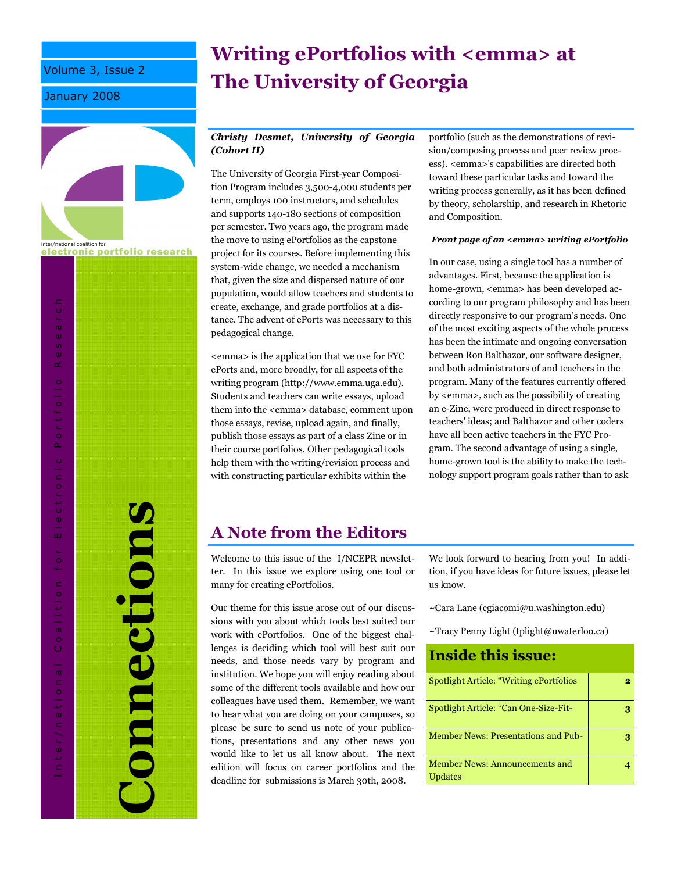Volume 3, Issue 2

January 2008



electronic portfolio research

Connections onnections

I n t e r / n a t i o n a l C o a l i t i o n f o r E l e c t r o n i c P o r t f o l i o R e s e a r c h

f o r

Coalition

Inter/national

Electronic Portfolio

Researc

# Writing ePortfolios with <emma> at The University of Georgia

### Christy Desmet, University of Georgia (Cohort II)

The University of Georgia First-year Composition Program includes 3,500-4,000 students per term, employs 100 instructors, and schedules and supports 140-180 sections of composition per semester. Two years ago, the program made the move to using ePortfolios as the capstone project for its courses. Before implementing this system-wide change, we needed a mechanism that, given the size and dispersed nature of our population, would allow teachers and students to create, exchange, and grade portfolios at a distance. The advent of ePorts was necessary to this pedagogical change.

<emma> is the application that we use for FYC ePorts and, more broadly, for all aspects of the writing program (http://www.emma.uga.edu). Students and teachers can write essays, upload them into the <emma> database, comment upon those essays, revise, upload again, and finally, publish those essays as part of a class Zine or in their course portfolios. Other pedagogical tools help them with the writing/revision process and with constructing particular exhibits within the

portfolio (such as the demonstrations of revision/composing process and peer review process). <emma>'s capabilities are directed both toward these particular tasks and toward the writing process generally, as it has been defined by theory, scholarship, and research in Rhetoric and Composition.

#### Front page of an <emma> writing ePortfolio

In our case, using a single tool has a number of advantages. First, because the application is home-grown, <emma> has been developed according to our program philosophy and has been directly responsive to our program's needs. One of the most exciting aspects of the whole process has been the intimate and ongoing conversation between Ron Balthazor, our software designer, and both administrators of and teachers in the program. Many of the features currently offered by <emma>, such as the possibility of creating an e-Zine, were produced in direct response to teachers' ideas; and Balthazor and other coders have all been active teachers in the FYC Program. The second advantage of using a single, home-grown tool is the ability to make the technology support program goals rather than to ask

### A Note from the Editors

Welcome to this issue of the I/NCEPR newsletter. In this issue we explore using one tool or many for creating ePortfolios.

Our theme for this issue arose out of our discussions with you about which tools best suited our work with ePortfolios. One of the biggest challenges is deciding which tool will best suit our needs, and those needs vary by program and institution. We hope you will enjoy reading about some of the different tools available and how our colleagues have used them. Remember, we want to hear what you are doing on your campuses, so please be sure to send us note of your publications, presentations and any other news you would like to let us all know about. The next edition will focus on career portfolios and the deadline for submissions is March 30th, 2008.

We look forward to hearing from you! In addition, if you have ideas for future issues, please let us know.

- ~Cara Lane (cgiacomi@u.washington.edu)
- ~Tracy Penny Light (tplight@uwaterloo.ca)

| <b>Inside this issue:</b>                        |   |
|--------------------------------------------------|---|
| Spotlight Article: "Writing ePortfolios"         | 2 |
| Spotlight Article: "Can One-Size-Fit-            |   |
| <b>Member News: Presentations and Pub-</b>       | З |
| Member News: Announcements and<br><b>Updates</b> |   |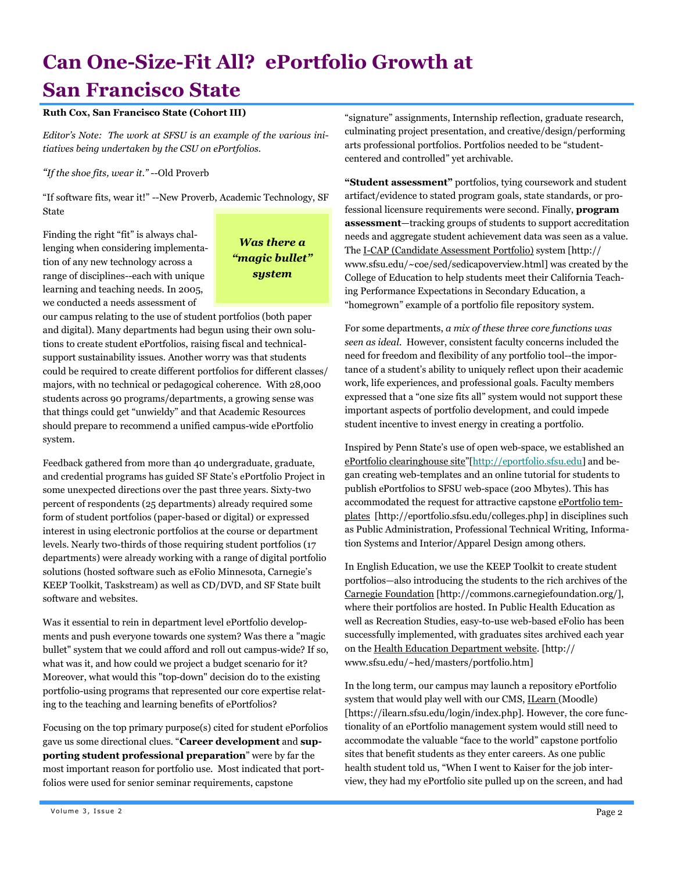# Can One-Size-Fit All? ePortfolio Growth at San Francisco State

### Ruth Cox, San Francisco State (Cohort III)

Editor's Note: The work at SFSU is an example of the various initiatives being undertaken by the CSU on ePortfolios.

"If the shoe fits, wear it." --Old Proverb

"If software fits, wear it!" --New Proverb, Academic Technology, SF State

Finding the right "fit" is always challenging when considering implementation of any new technology across a range of disciplines--each with unique learning and teaching needs. In 2005, we conducted a needs assessment of

### Was there a "magic bullet" system

our campus relating to the use of student portfolios (both paper and digital). Many departments had begun using their own solutions to create student ePortfolios, raising fiscal and technicalsupport sustainability issues. Another worry was that students could be required to create different portfolios for different classes/ majors, with no technical or pedagogical coherence. With 28,000 students across 90 programs/departments, a growing sense was that things could get "unwieldy" and that Academic Resources should prepare to recommend a unified campus-wide ePortfolio system.

Feedback gathered from more than 40 undergraduate, graduate, and credential programs has guided SF State's ePortfolio Project in some unexpected directions over the past three years. Sixty-two percent of respondents (25 departments) already required some form of student portfolios (paper-based or digital) or expressed interest in using electronic portfolios at the course or department levels. Nearly two-thirds of those requiring student portfolios (17 departments) were already working with a range of digital portfolio solutions (hosted software such as eFolio Minnesota, Carnegie's KEEP Toolkit, Taskstream) as well as CD/DVD, and SF State built software and websites.

Was it essential to rein in department level ePortfolio developments and push everyone towards one system? Was there a "magic bullet" system that we could afford and roll out campus-wide? If so, what was it, and how could we project a budget scenario for it? Moreover, what would this "top-down" decision do to the existing portfolio-using programs that represented our core expertise relating to the teaching and learning benefits of ePortfolios?

Focusing on the top primary purpose(s) cited for student ePorfolios gave us some directional clues. "Career development and supporting student professional preparation" were by far the most important reason for portfolio use. Most indicated that portfolios were used for senior seminar requirements, capstone

"signature" assignments, Internship reflection, graduate research, culminating project presentation, and creative/design/performing arts professional portfolios. Portfolios needed to be "studentcentered and controlled" yet archivable.

"Student assessment" portfolios, tying coursework and student artifact/evidence to stated program goals, state standards, or professional licensure requirements were second. Finally, program assessment—tracking groups of students to support accreditation needs and aggregate student achievement data was seen as a value. The I-CAP (Candidate Assessment Portfolio) system [http:// www.sfsu.edu/~coe/sed/sedicapoverview.html] was created by the College of Education to help students meet their California Teaching Performance Expectations in Secondary Education, a "homegrown" example of a portfolio file repository system.

For some departments, a mix of these three core functions was seen as ideal. However, consistent faculty concerns included the need for freedom and flexibility of any portfolio tool--the importance of a student's ability to uniquely reflect upon their academic work, life experiences, and professional goals. Faculty members expressed that a "one size fits all" system would not support these important aspects of portfolio development, and could impede student incentive to invest energy in creating a portfolio.

Inspired by Penn State's use of open web-space, we established an ePortfolio clearinghouse site"[http://eportfolio.sfsu.edu] and began creating web-templates and an online tutorial for students to publish ePortfolios to SFSU web-space (200 Mbytes). This has accommodated the request for attractive capstone ePortfolio templates [http://eportfolio.sfsu.edu/colleges.php] in disciplines such as Public Administration, Professional Technical Writing, Information Systems and Interior/Apparel Design among others.

In English Education, we use the KEEP Toolkit to create student portfolios—also introducing the students to the rich archives of the Carnegie Foundation [http://commons.carnegiefoundation.org/], where their portfolios are hosted. In Public Health Education as well as Recreation Studies, easy-to-use web-based eFolio has been successfully implemented, with graduates sites archived each year on the Health Education Department website. [http:// www.sfsu.edu/~hed/masters/portfolio.htm]

In the long term, our campus may launch a repository ePortfolio system that would play well with our CMS, ILearn (Moodle) [https://ilearn.sfsu.edu/login/index.php]. However, the core functionality of an ePortfolio management system would still need to accommodate the valuable "face to the world" capstone portfolio sites that benefit students as they enter careers. As one public health student told us, "When I went to Kaiser for the job interview, they had my ePortfolio site pulled up on the screen, and had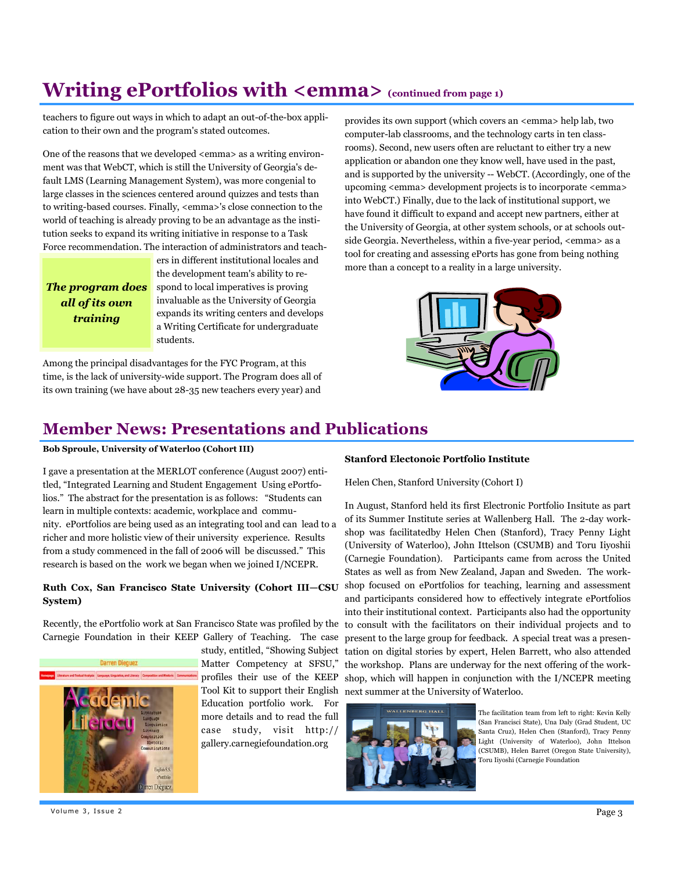## Writing ePortfolios with  $\leq$ emma $>$  (continued from page 1)

teachers to figure out ways in which to adapt an out-of-the-box application to their own and the program's stated outcomes.

One of the reasons that we developed <emma> as a writing environment was that WebCT, which is still the University of Georgia's default LMS (Learning Management System), was more congenial to large classes in the sciences centered around quizzes and tests than to writing-based courses. Finally, <emma>'s close connection to the world of teaching is already proving to be an advantage as the institution seeks to expand its writing initiative in response to a Task Force recommendation. The interaction of administrators and teach-

The program does all of its own training

ers in different institutional locales and the development team's ability to respond to local imperatives is proving invaluable as the University of Georgia expands its writing centers and develops a Writing Certificate for undergraduate students.

Among the principal disadvantages for the FYC Program, at this time, is the lack of university-wide support. The Program does all of its own training (we have about 28-35 new teachers every year) and

provides its own support (which covers an <emma> help lab, two computer-lab classrooms, and the technology carts in ten classrooms). Second, new users often are reluctant to either try a new application or abandon one they know well, have used in the past, and is supported by the university -- WebCT. (Accordingly, one of the upcoming <emma> development projects is to incorporate <emma> into WebCT.) Finally, due to the lack of institutional support, we have found it difficult to expand and accept new partners, either at the University of Georgia, at other system schools, or at schools outside Georgia. Nevertheless, within a five-year period, <emma> as a tool for creating and assessing ePorts has gone from being nothing more than a concept to a reality in a large university.



### Member News: Presentations and Publications

#### Bob Sproule, University of Waterloo (Cohort III)

I gave a presentation at the MERLOT conference (August 2007) entitled, "Integrated Learning and Student Engagement Using ePortfolios." The abstract for the presentation is as follows: "Students can learn in multiple contexts: academic, workplace and community. ePortfolios are being used as an integrating tool and can lead to a richer and more holistic view of their university experience. Results from a study commenced in the fall of 2006 will be discussed." This research is based on the work we began when we joined I/NCEPR.

### Ruth Cox, San Francisco State University (Cohort III—CSU System)

Recently, the ePortfolio work at San Francisco State was profiled by the Carnegie Foundation in their KEEP Gallery of Teaching. The case



study, entitled, "Showing Subject Matter Competency at SFSU," profiles their use of the KEEP Tool Kit to support their English Education portfolio work. For more details and to read the full case study, visit http:// gallery.carnegiefoundation.org

#### Stanford Electonoic Portfolio Institute

Helen Chen, Stanford University (Cohort I)

In August, Stanford held its first Electronic Portfolio Insitute as part of its Summer Institute series at Wallenberg Hall. The 2-day workshop was facilitatedby Helen Chen (Stanford), Tracy Penny Light (University of Waterloo), John Ittelson (CSUMB) and Toru Iiyoshii (Carnegie Foundation). Participants came from across the United States as well as from New Zealand, Japan and Sweden. The workshop focused on ePortfolios for teaching, learning and assessment and participants considered how to effectively integrate ePortfolios into their institutional context. Participants also had the opportunity to consult with the facilitators on their individual projects and to present to the large group for feedback. A special treat was a presentation on digital stories by expert, Helen Barrett, who also attended the workshop. Plans are underway for the next offering of the workshop, which will happen in conjunction with the I/NCEPR meeting next summer at the University of Waterloo.



The facilitation team from left to right: Kevin Kelly (San Francisci State), Una Daly (Grad Student, UC Santa Cruz), Helen Chen (Stanford), Tracy Penny Light (University of Waterloo), John Ittelson (CSUMB), Helen Barret (Oregon State University), Toru Iiyoshi (Carnegie Foundation

Volume 3, Issue 2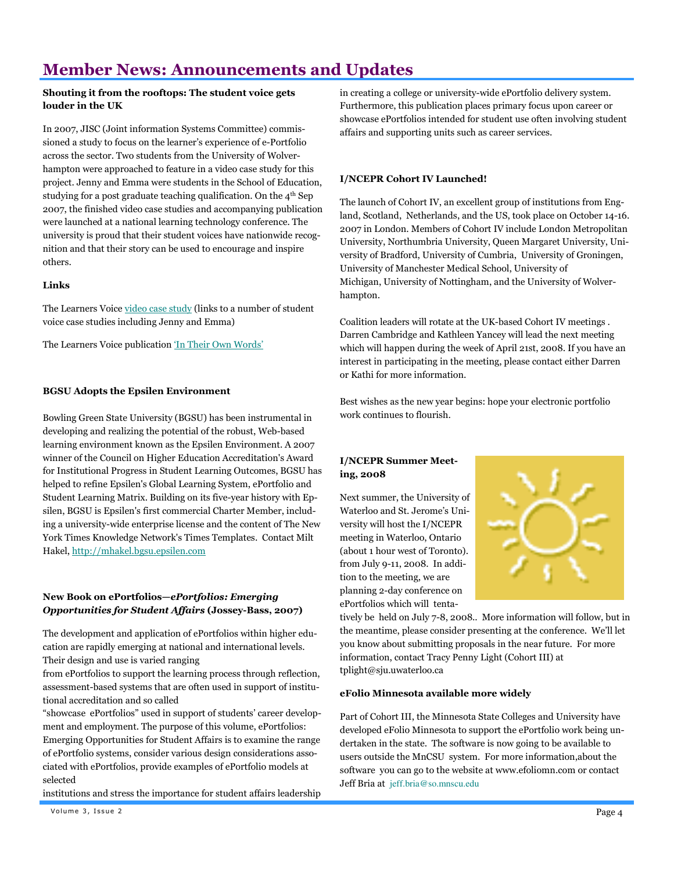## Member News: Announcements and Updates

### Shouting it from the rooftops: The student voice gets louder in the UK

In 2007, JISC (Joint information Systems Committee) commissioned a study to focus on the learner's experience of e-Portfolio across the sector. Two students from the University of Wolverhampton were approached to feature in a video case study for this project. Jenny and Emma were students in the School of Education, studying for a post graduate teaching qualification. On the 4th Sep 2007, the finished video case studies and accompanying publication were launched at a national learning technology conference. The university is proud that their student voices have nationwide recognition and that their story can be used to encourage and inspire others.

### Links

The Learners Voice video case study (links to a number of student voice case studies including Jenny and Emma)

The Learners Voice publication 'In Their Own Words'

### BGSU Adopts the Epsilen Environment

Bowling Green State University (BGSU) has been instrumental in developing and realizing the potential of the robust, Web-based learning environment known as the Epsilen Environment. A 2007 winner of the Council on Higher Education Accreditation's Award for Institutional Progress in Student Learning Outcomes, BGSU has helped to refine Epsilen's Global Learning System, ePortfolio and Student Learning Matrix. Building on its five-year history with Epsilen, BGSU is Epsilen's first commercial Charter Member, including a university-wide enterprise license and the content of The New York Times Knowledge Network's Times Templates. Contact Milt Hakel, http://mhakel.bgsu.epsilen.com

### New Book on ePortfolios—ePortfolios: Emerging Opportunities for Student Affairs (Jossey-Bass, 2007)

The development and application of ePortfolios within higher education are rapidly emerging at national and international levels. Their design and use is varied ranging

from ePortfolios to support the learning process through reflection, assessment-based systems that are often used in support of institutional accreditation and so called

"showcase ePortfolios" used in support of students' career development and employment. The purpose of this volume, ePortfolios: Emerging Opportunities for Student Affairs is to examine the range of ePortfolio systems, consider various design considerations associated with ePortfolios, provide examples of ePortfolio models at selected

institutions and stress the importance for student affairs leadership

in creating a college or university-wide ePortfolio delivery system. Furthermore, this publication places primary focus upon career or showcase ePortfolios intended for student use often involving student affairs and supporting units such as career services.

### I/NCEPR Cohort IV Launched!

The launch of Cohort IV, an excellent group of institutions from England, Scotland, Netherlands, and the US, took place on October 14-16. 2007 in London. Members of Cohort IV include London Metropolitan University, Northumbria University, Queen Margaret University, University of Bradford, University of Cumbria, University of Groningen, University of Manchester Medical School, University of Michigan, University of Nottingham, and the University of Wolverhampton.

Coalition leaders will rotate at the UK-based Cohort IV meetings . Darren Cambridge and Kathleen Yancey will lead the next meeting which will happen during the week of April 21st, 2008. If you have an interest in participating in the meeting, please contact either Darren or Kathi for more information.

Best wishes as the new year begins: hope your electronic portfolio work continues to flourish.

### I/NCEPR Summer Meeting, 2008

Next summer, the University of Waterloo and St. Jerome's University will host the I/NCEPR meeting in Waterloo, Ontario (about 1 hour west of Toronto). from July 9-11, 2008. In addition to the meeting, we are planning 2-day conference on ePortfolios which will tenta-



tively be held on July 7-8, 2008.. More information will follow, but in the meantime, please consider presenting at the conference. We'll let you know about submitting proposals in the near future. For more information, contact Tracy Penny Light (Cohort III) at tplight@sju.uwaterloo.ca

#### eFolio Minnesota available more widely

Part of Cohort III, the Minnesota State Colleges and University have developed eFolio Minnesota to support the ePortfolio work being undertaken in the state. The software is now going to be available to users outside the MnCSU system. For more information,about the software you can go to the website at www.efoliomn.com or contact Jeff Bria at jeff.bria@so.mnscu.edu